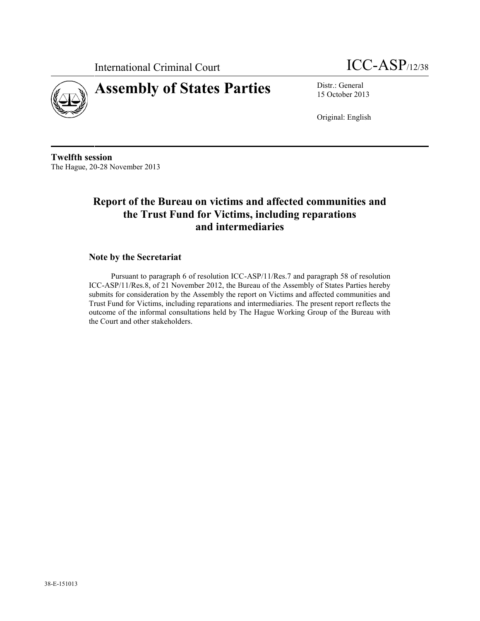



15 October 2013

Original: English

**Twelfth session** The Hague, 20-28 November 2013

# **Report of the Bureau on victims and affected communities and the Trust Fund for Victims, including reparations and intermediaries**

### **Note by the Secretariat**

Pursuant to paragraph 6 of resolution ICC-ASP/11/Res.7 and paragraph 58 of resolution ICC-ASP/11/Res.8, of 21 November 2012, the Bureau of the Assembly of States Parties hereby submits for consideration by the Assembly the report on Victims and affected communities and Trust Fund for Victims, including reparations and intermediaries. The present report reflects the outcome of the informal consultations held by The Hague Working Group of the Bureau with the Court and other stakeholders.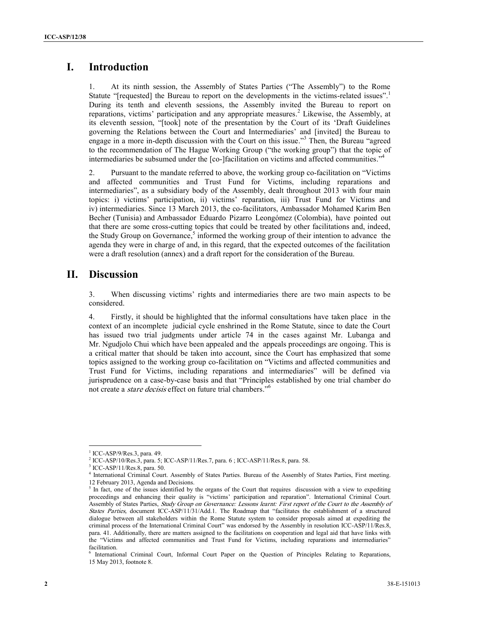## **I. Introduction**

1. At its ninth session, the Assembly of States Parties ("The Assembly") to the Rome Statute "[requested] the Bureau to report on the developments in the victims-related issues". During its tenth and eleventh sessions, the Assembly invited the Bureau to report on reparations, victims' participation and any appropriate measures.<sup>2</sup> Likewise, the Assembly, at its eleventh session, "[took] note of the presentation by the Court of its 'Draft Guidelines governing the Relations between the Court and Intermediaries' and [invited] the Bureau to engage in a more in-depth discussion with the Court on this issue." <sup>3</sup> Then, the Bureau "agreed to the recommendation of The Hague Working Group ("the working group") that the topic of intermediaries be subsumed under the [co-]facilitation on victims and affected communities." 4

2. Pursuant to the mandate referred to above, the working group co-facilitation on "Victims and affected communities and Trust Fund for Victims, including reparations and intermediaries", as a subsidiary body of the Assembly, dealt throughout 2013 with four main topics: i) victims' participation, ii) victims' reparation, iii) Trust Fund for Victims and iv) intermediaries. Since 13 March 2013, the co-facilitators, Ambassador Mohamed Karim Ben Becher (Tunisia) and Ambassador Eduardo Pizarro Leongómez (Colombia), have pointed out that there are some cross-cutting topics that could be treated by other facilitations and, indeed, the Study Group on Governance, $5$  informed the working group of their intention to advance the agenda they were in charge of and, in this regard, that the expected outcomes of the facilitation were a draft resolution (annex) and a draft report for the consideration of the Bureau.

### **II. Discussion**

3. When discussing victims' rights and intermediaries there are two main aspects to be considered.

4. Firstly, it should be highlighted that the informal consultations have taken place in the context of an incomplete judicial cycle enshrined in the Rome Statute, since to date the Court has issued two trial judgments under article 74 in the cases against Mr. Lubanga and Mr. Ngudjolo Chui which have been appealed and the appeals proceedings are ongoing. This is a critical matter that should be taken into account, since the Court has emphasized that some topics assigned to the working group co-facilitation on "Victims and affected communities and Trust Fund for Victims, including reparations and intermediaries" will be defined via jurisprudence on a case-by-case basis and that "Principles established by one trial chamber do not create a *stare decisis* effect on future trial chambers."<sup>6</sup> 6

 $1$  ICC-ASP/9/Res.3, para. 49.<br> $2$  ICC-ASP/10/Res.3, para. 5; ICC-ASP/11/Res.7, para. 6 ; ICC-ASP/11/Res.8, para. 58.

 $3$  ICC-ASP/11/Res.8, para. 50.

<sup>4</sup> International Criminal Court. Assembly of States Parties. Bureau of the Assembly of States Parties, First meeting. 12 February 2013, Agenda and Decisions.

 $<sup>5</sup>$  In fact, one of the issues identified by the organs of the Court that requires discussion with a view to expediting</sup> proceedings and enhancing their quality is "victims' participation and reparation". International Criminal Court. Assembly of States Parties, *Study Group on Governance: Lessons learnt: First report of the Court to the Assembly of States Parties,* document ICC-ASP/11/31/Add.1. The Roadmap that "facilitates the establishment of a structured dialogue between all stakeholders within the Rome Statute system to consider proposals aimed at expediting the criminal process of the International Criminal Court" was endorsed by the Assembly in resolution ICC-ASP/11/Res.8, para. 41. Additionally, there are matters assigned to the facilitations on cooperation and legal aid that have links with the "Victims and affected communities and Trust Fund for Victims, including reparations and intermediaries" facilitation.

<sup>6</sup> International Criminal Court, Informal Court Paper on the Question of Principles Relating to Reparations, 15 May 2013, footnote 8.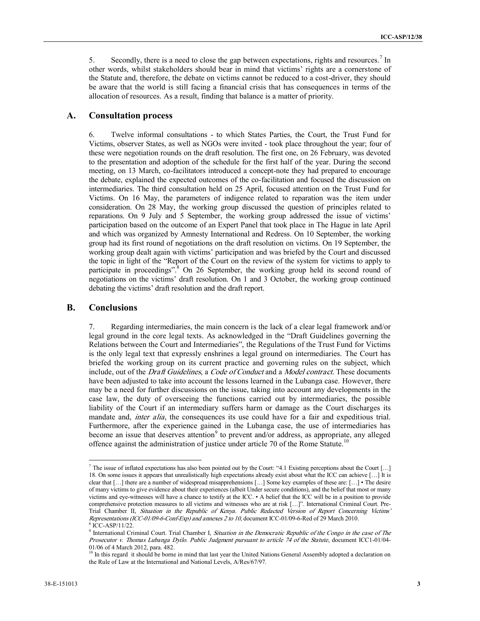5. Secondly, there is a need to close the gap between expectations, rights and resources.<sup>7</sup> In other words, whilst stakeholders should bear in mind that victims' rights are a cornerstone of the Statute and, therefore, the debate on victims cannot be reduced to a cost-driver, they should be aware that the world is still facing a financial crisis that has consequences in terms of the allocation of resources. As a result, finding that balance is a matter of priority.

#### **A. Consultation process**

6. Twelve informal consultations - to which States Parties, the Court, the Trust Fund for Victims, observer States, as well as NGOs were invited - took place throughout the year; four of these were negotiation rounds on the draft resolution. The first one, on 26 February, was devoted to the presentation and adoption of the schedule for the first half of the year. During the second meeting, on 13 March, co-facilitators introduced a concept-note they had prepared to encourage the debate, explained the expected outcomes of the co-facilitation and focused the discussion on intermediaries. The third consultation held on 25 April, focused attention on the Trust Fund for Victims. On 16 May, the parameters of indigence related to reparation was the item under consideration. On 28 May, the working group discussed the question of principles related to reparations. On 9 July and 5 September, the working group addressed the issue of victims' participation based on the outcome of an Expert Panel that took place in The Hague in late April and which was organized by Amnesty International and Redress. On 10 September, the working group had its first round of negotiations on the draft resolution on victims. On 19 September, the working group dealt again with victims' participation and was briefed by the Court and discussed the topic in light of the "Report of the Court on the review of the system for victims to apply to participate in proceedings".<sup>8</sup> On 26 September, the working group held its second round of negotiations on the victims' draft resolution. On 1 and 3 October, the working group continued debating the victims' draft resolution and the draft report.

#### **B. Conclusions**

7. Regarding intermediaries, the main concern is the lack of a clear legal framework and/or legal ground in the core legal texts. As acknowledged in the "Draft Guidelines governing the Relations between the Court and Intermediaries", the Regulations of the Trust Fund for Victims is the only legal text that expressly enshrines a legal ground on intermediaries. The Court has briefed the working group on its current practice and governing rules on the subject, which include, out of the *Draft Guidelines*, a *Code of Conduct* and a *Model contract.* These documents have been adjusted to take into account the lessons learned in the Lubanga case. However, there may be a need for further discussions on the issue, taking into account any developments in the case law, the duty of overseeing the functions carried out by intermediaries, the possible liability of the Court if an intermediary suffers harm or damage as the Court discharges its mandate and, *inter alia*, the consequences its use could have for a fair and expeditious trial. Furthermore, after the experience gained in the Lubanga case, the use of intermediaries has become an issue that deserves attention<sup>9</sup> to prevent and/or address, as appropriate, any alleged offence against the administration of justice under article 70 of the Rome Statute.<sup>10</sup>

<sup>&</sup>lt;sup>7</sup> The issue of inflated expectations has also been pointed out by the Court: "4.1 Existing perceptions about the Court […] 18. On some issues it appears that unrealistically high expectations already exist about what the ICC can achieve […] It is clear that […] there are a number of widespread misapprehensions […] Some key examples of these are: […] • The desire of many victims to give evidence about their experiences (albeit Under secure conditions), and the belief that most or many victims and eye-witnesses will have a chance to testify at the ICC. • A belief that the ICC will be in a position to provide comprehensive protection measures to all victims and witnesses who are at risk […]". International Criminal Court. Pre- Trial Chamber II, *Situation in the Republic of Kenya. Public Redacted Version of Report Concerning Victims' Representations (ICC-01/09-6-Conf-Exp) and annexes 2 to 10*, document ICC-01/09-6-Red of 29 March 2010. <sup>8</sup> ICC-ASP/11/22.

<sup>9</sup> International Criminal Court. Trial Chamber I, *Situation in the Democratic Republic of the Congo in the case of The Prosecutor v. Thomas Lubanga Dyilo. Public Judgment pursuant to article 74 of the Statute*, document ICC1-01/04- 01/06 of 4 March 2012, para. 482*.*

<sup>&</sup>lt;sup>10</sup> In this regard it should be borne in mind that last year the United Nations General Assembly adopted a declaration on the Rule of Law at the International and National Levels, A/Res/67/97.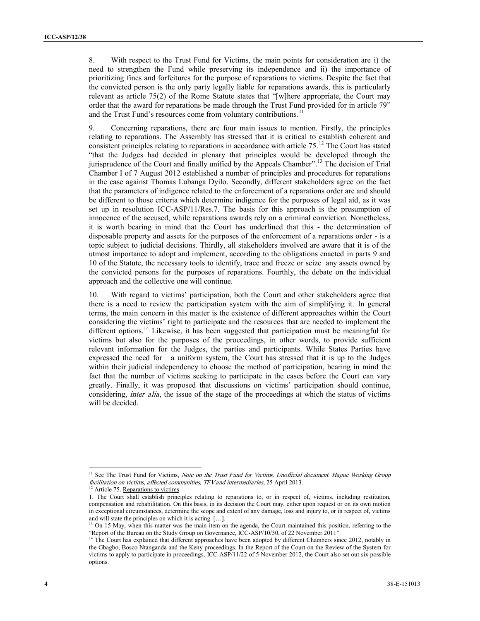8. With respect to the Trust Fund for Victims, the main points for consideration are i) the need to strengthen the Fund while preserving its independence and ii) the importance of prioritizing fines and forfeitures for the purpose of reparations to victims. Despite the fact that the convicted person is the only party legally liable for reparations awards, this is particularly relevant as article 75(2) of the Rome Statute states that "[w]here appropriate, the Court may order that the award for reparations be made through the Trust Fund provided for in article 79" and the Trust Fund's resources come from voluntary contributions.<sup>11</sup>

9. Concerning reparations, there are four main issues to mention. Firstly, the principles relating to reparations. The Assembly has stressed that it is critical to establish coherent and consistent principles relating to reparations in accordance with article 75.<sup>12</sup> The Court has stated "that the Judges had decided in plenary that principles would be developed through the jurisprudence of the Court and finally unified by the Appeals Chamber".<sup>13</sup> The decision of Trial Chamber I of 7 August 2012 established a number of principles and procedures for reparations in the case against Thomas Lubanga Dyilo. Secondly, different stakeholders agree on the fact that the parameters of indigence related to the enforcement of a reparations order are and should be different to those criteria which determine indigence for the purposes of legal aid, as it was set up in resolution ICC-ASP/11/Res.7. The basis for this approach is the presumption of innocence of the accused, while reparations awards rely on a criminal conviction. Nonetheless, it is worth bearing in mind that the Court has underlined that this - the determination of disposable property and assets for the purposes of the enforcement of a reparations order - is a topic subject to judicial decisions. Thirdly, all stakeholders involved are aware that it is of the utmost importance to adopt and implement, according to the obligations enacted in parts 9 and 10 of the Statute, the necessary tools to identify, trace and freeze or seize any assets owned by the convicted persons for the purposes of reparations. Fourthly, the debate on the individual approach and the collective one will continue.

10. With regard to victims' participation, both the Court and other stakeholders agree that there is a need to review the participation system with the aim of simplifying it. In general terms, the main concern in this matter is the existence of different approaches within the Court considering the victims' right to participate and the resources that are needed to implement the different options.<sup>14</sup> Likewise, it has been suggested that participation must be meaningful for victims but also for the purposes of the proceedings, in other words, to provide sufficient relevant information for the Judges, the parties and participants. While States Parties have expressed the need for a uniform system, the Court has stressed that it is up to the Judges within their judicial independency to choose the method of participation, bearing in mind the fact that the number of victims seeking to participate in the cases before the Court can vary greatly. Finally, it was proposed that discussions on victims' participation should continue, considering, *inter alia*, the issue of the stage of the proceedings at which the status of victims will be decided.

<sup>&</sup>lt;sup>11</sup> See The Trust Fund for Victims, *Note on the Trust Fund for Victims. Unofficial document. Hague Working Group facilitation on victims, affected communities, TFV and intermediaries*, 25 April 2013.

<sup>&</sup>lt;sup>12</sup> Article 75. Reparations to victims

<sup>1.</sup> The Court shall establish principles relating to reparations to, or in respect of, victims, including restitution, compensation and rehabilitation. On this basis, in its decision the Court may, either upon request or on its own motion in exceptional circumstances, determine the scope and extent of any damage, loss and injury to, or in respect of, victims and will state the principles on which it is acting. [...].

<sup>&</sup>lt;sup>13</sup> On 15 May, when this matter was the main item on the agenda, the Court maintained this position, referring to the "Report of the Bureau on the Study Group on Governance, ICC-ASP/10/30, of 22 November 2011".

<sup>&</sup>lt;sup>14</sup> The Court has explained that different approaches have been adopted by different Chambers since 2012, notably in the Gbagbo, Bosco Ntanganda and the Keny proceedings. In the Report of the Court on the Review of the System for victims to apply to participate in proceedings, ICC-ASP/11/22 of 5 November 2012, the Court also set out six possible options.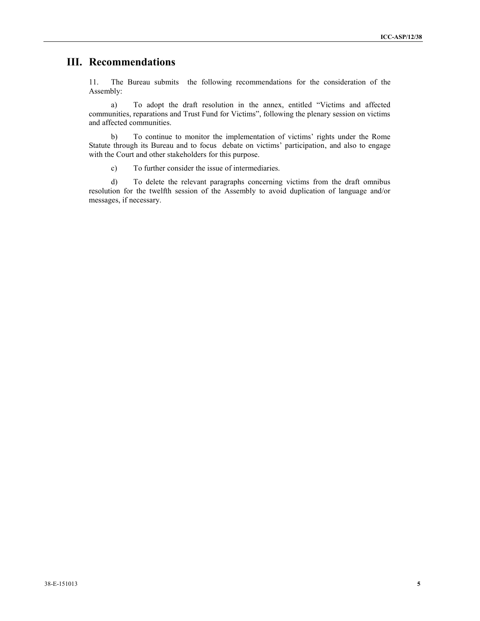# **III. Recommendations**

11. The Bureau submits the following recommendations for the consideration of the Assembly:

a) To adopt the draft resolution in the annex, entitled "Victims and affected communities, reparations and Trust Fund for Victims", following the plenary session on victims and affected communities.

b) To continue to monitor the implementation of victims' rights under the Rome Statute through its Bureau and to focus debate on victims' participation, and also to engage with the Court and other stakeholders for this purpose.

c) To further consider the issue of intermediaries.

d) To delete the relevant paragraphs concerning victims from the draft omnibus resolution for the twelfth session of the Assembly to avoid duplication of language and/or messages, if necessary.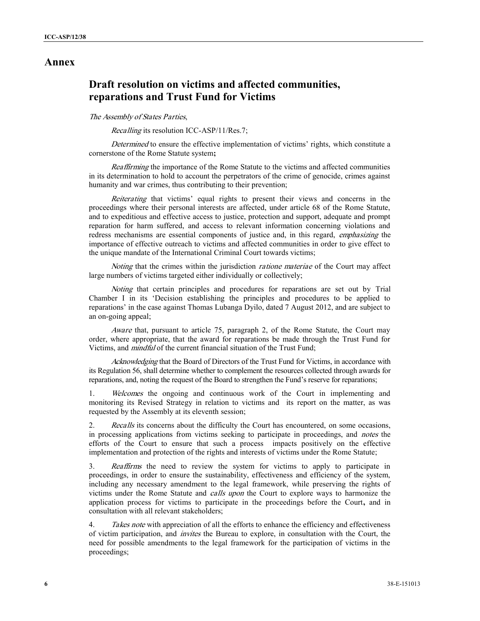### **Annex**

## **Draft resolution on victims and affected communities, reparations and Trust Fund for Victims**

#### *The Assembly of States Parties*,

*Recalling* its resolution ICC-ASP/11/Res.7;

*Determined* to ensure the effective implementation of victims' rights, which constitute a cornerstone of the Rome Statute system**;**

*Reaffirming* the importance of the Rome Statute to the victims and affected communities in its determination to hold to account the perpetrators of the crime of genocide, crimes against humanity and war crimes, thus contributing to their prevention;

*Reiterating* that victims' equal rights to present their views and concerns in the proceedings where their personal interests are affected, under article 68 of the Rome Statute, and to expeditious and effective access to justice, protection and support, adequate and prompt reparation for harm suffered, and access to relevant information concerning violations and redress mechanisms are essential components of justice and, in this regard, *emphasizing* the importance of effective outreach to victims and affected communities in order to give effect to the unique mandate of the International Criminal Court towards victims;

*Noting* that the crimes within the jurisdiction *ratione materiae* of the Court may affect large numbers of victims targeted either individually or collectively;

*Noting* that certain principles and procedures for reparations are set out by Trial Chamber I in its 'Decision establishing the principles and procedures to be applied to reparations' in the case against Thomas Lubanga Dyilo, dated 7 August 2012, and are subject to an on-going appeal;

*Aware* that, pursuant to article 75, paragraph 2, of the Rome Statute, the Court may order, where appropriate, that the award for reparations be made through the Trust Fund for Victims, and *mindful* of the current financial situation of the Trust Fund;

*Acknowledging* that the Board of Directors of the Trust Fund for Victims, in accordance with its Regulation 56, shall determine whether to complement the resources collected through awards for reparations, and, noting the request of the Board to strengthen the Fund's reserve for reparations;

1. *Welcomes* the ongoing and continuous work of the Court in implementing and monitoring its Revised Strategy in relation to victims and its report on the matter, as was requested by the Assembly at its eleventh session;

2. *Recalls* its concerns about the difficulty the Court has encountered, on some occasions, in processing applications from victims seeking to participate in proceedings, and *notes* the efforts of the Court to ensure that such a process impacts positively on the effective implementation and protection of the rights and interests of victims under the Rome Statute;

3. *Reaffirms* the need to review the system for victims to apply to participate in proceedings, in order to ensure the sustainability, effectiveness and efficiency of the system, including any necessary amendment to the legal framework, while preserving the rights of victims under the Rome Statute and *calls upon* the Court to explore ways to harmonize the application process for victims to participate in the proceedings before the Court**,** and in consultation with all relevant stakeholders;

4. *Takes note* with appreciation of all the efforts to enhance the efficiency and effectiveness of victim participation, and *invites* the Bureau to explore, in consultation with the Court, the need for possible amendments to the legal framework for the participation of victims in the proceedings;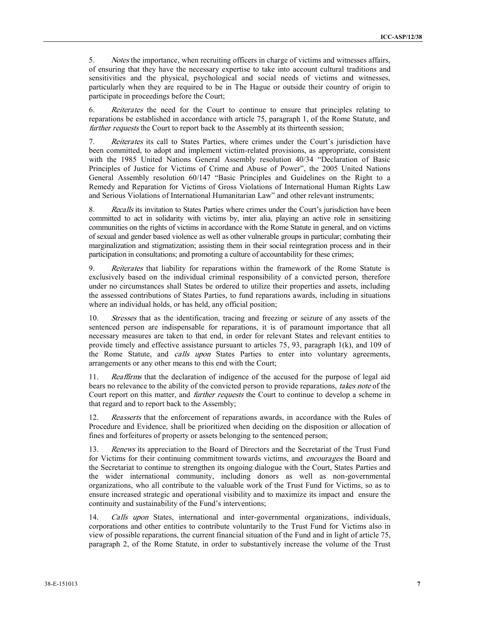5. *Notes* the importance*,* when recruiting officers in charge of victims and witnesses affairs, of ensuring that they have the necessary expertise to take into account cultural traditions and sensitivities and the physical, psychological and social needs of victims and witnesses, particularly when they are required to be in The Hague or outside their country of origin to participate in proceedings before the Court;

6. *Reiterates* the need for the Court to continue to ensure that principles relating to reparations be established in accordance with article 75, paragraph 1, of the Rome Statute, and *further requests* the Court to report back to the Assembly at its thirteenth session;

7. *Reiterates* its call to States Parties, where crimes under the Court's jurisdiction have been committed, to adopt and implement victim-related provisions, as appropriate, consistent with the 1985 United Nations General Assembly resolution 40/34 "Declaration of Basic Principles of Justice for Victims of Crime and Abuse of Power", the 2005 United Nations General Assembly resolution 60/147 "Basic Principles and Guidelines on the Right to a Remedy and Reparation for Victims of Gross Violations of International Human Rights Law and Serious Violations of International Humanitarian Law" and other relevant instruments;

8. *Recalls* its invitation to States Parties where crimes under the Court's jurisdiction have been committed to act in solidarity with victims by, inter alia, playing an active role in sensitizing communities on the rights of victims in accordance with the Rome Statute in general, and on victims of sexual and gender based violence as well as other vulnerable groups in particular; combating their marginalization and stigmatization; assisting them in their social reintegration process and in their participation in consultations; and promoting a culture of accountability for these crimes;

9. *Reiterates* that liability for reparations within the framework of the Rome Statute is exclusively based on the individual criminal responsibility of a convicted person, therefore under no circumstances shall States be ordered to utilize their properties and assets, including the assessed contributions of States Parties, to fund reparations awards, including in situations where an individual holds, or has held, any official position;

10. *Stresses* that as the identification, tracing and freezing or seizure of any assets of the sentenced person are indispensable for reparations, it is of paramount importance that all necessary measures are taken to that end, in order for relevant States and relevant entities to provide timely and effective assistance pursuant to articles 75, 93, paragraph 1(k), and 109 of the Rome Statute, and *calls upon* States Parties to enter into voluntary agreements, arrangements or any other means to this end with the Court;

11. *Reaffirms* that the declaration of indigence of the accused for the purpose of legal aid bears no relevance to the ability of the convicted person to provide reparations, *takes note* of the Court report on this matter, and *further requests* the Court to continue to develop a scheme in that regard and to report back to the Assembly;

12. *Reasserts* that the enforcement of reparations awards, in accordance with the Rules of Procedure and Evidence, shall be prioritized when deciding on the disposition or allocation of fines and forfeitures of property or assets belonging to the sentenced person;

13. *Renews* its appreciation to the Board of Directors and the Secretariat of the Trust Fund for Victims for their continuing commitment towards victims, and *encourages* the Board and the Secretariat to continue to strengthen its ongoing dialogue with the Court, States Parties and the wider international community, including donors as well as non-governmental organizations, who all contribute to the valuable work of the Trust Fund for Victims, so as to ensure increased strategic and operational visibility and to maximize its impact and ensure the continuity and sustainability of the Fund's interventions;

14. *Calls upon* States, international and inter-governmental organizations, individuals, corporations and other entities to contribute voluntarily to the Trust Fund for Victims also in view of possible reparations, the current financial situation of the Fund and in light of article 75, paragraph 2, of the Rome Statute, in order to substantively increase the volume of the Trust